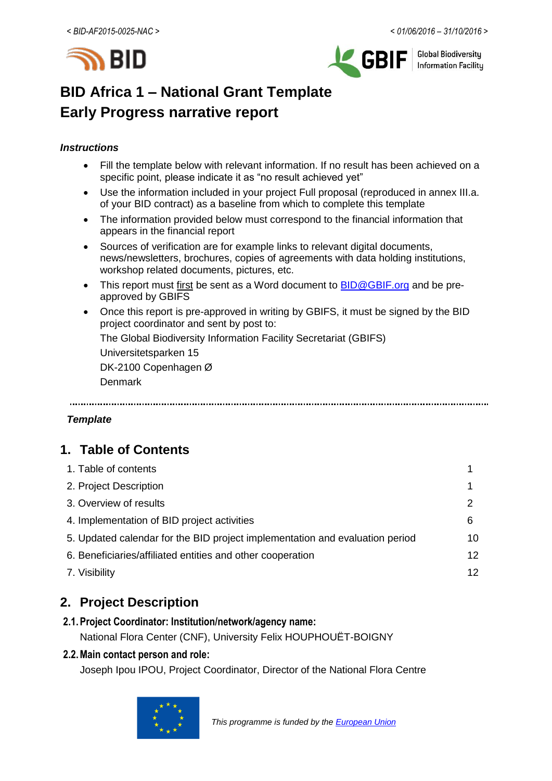



**Global Biodiversity Information Facility** 

# **BID Africa 1 – National Grant Template Early Progress narrative report**

## *Instructions*

- Fill the template below with relevant information. If no result has been achieved on a specific point, please indicate it as "no result achieved yet"
- Use the information included in your project Full proposal (reproduced in annex III.a. of your BID contract) as a baseline from which to complete this template
- The information provided below must correspond to the financial information that appears in the financial report
- Sources of verification are for example links to relevant digital documents, news/newsletters, brochures, copies of agreements with data holding institutions, workshop related documents, pictures, etc.
- This report must first be sent as a Word document to **BID@GBIF.org** and be preapproved by GBIFS
- Once this report is pre-approved in writing by GBIFS, it must be signed by the BID project coordinator and sent by post to:

The Global Biodiversity Information Facility Secretariat (GBIFS)

Universitetsparken 15

DK-2100 Copenhagen Ø

Denmark

## *Template*

# **1. Table of Contents**

| 1. Table of contents                                                         |    |
|------------------------------------------------------------------------------|----|
| 2. Project Description                                                       |    |
| 3. Overview of results                                                       | 2  |
| 4. Implementation of BID project activities                                  | 6  |
| 5. Updated calendar for the BID project implementation and evaluation period | 10 |
| 6. Beneficiaries/affiliated entities and other cooperation                   | 12 |
| 7. Visibility                                                                | 12 |

# **2. Project Description**

# **2.1.Project Coordinator: Institution/network/agency name:**

National Flora Center (CNF), University Felix HOUPHOUËT-BOIGNY

## **2.2.Main contact person and role:**

Joseph Ipou IPOU, Project Coordinator, Director of the National Flora Centre

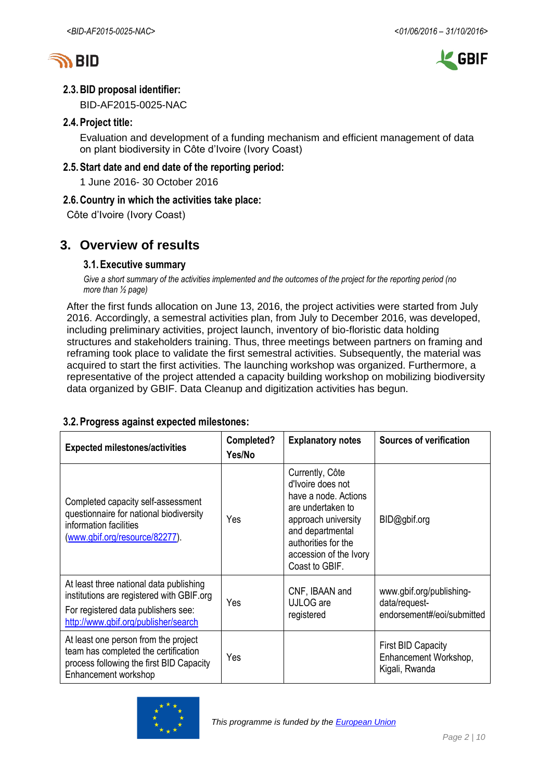



# **2.3.BID proposal identifier:**

BID-AF2015-0025-NAC

# **2.4.Project title:**

Evaluation and development of a funding mechanism and efficient management of data on plant biodiversity in Côte d'Ivoire (Ivory Coast)

## **2.5.Start date and end date of the reporting period:**

1 June 2016- 30 October 2016

# **2.6.Country in which the activities take place:**

Côte d'Ivoire (Ivory Coast)

# **3. Overview of results**

## **3.1.Executive summary**

*Give a short summary of the activities implemented and the outcomes of the project for the reporting period (no more than ½ page)*

After the first funds allocation on June 13, 2016, the project activities were started from July 2016. Accordingly, a semestral activities plan, from July to December 2016, was developed, including preliminary activities, project launch, inventory of bio-floristic data holding structures and stakeholders training. Thus, three meetings between partners on framing and reframing took place to validate the first semestral activities. Subsequently, the material was acquired to start the first activities. The launching workshop was organized. Furthermore, a representative of the project attended a capacity building workshop on mobilizing biodiversity data organized by GBIF. Data Cleanup and digitization activities has begun.

#### **3.2.Progress against expected milestones: Expected milestones/activities Completed? Yes/No Explanatory notes | Sources of verification** Completed capacity self-assessment questionnaire for national biodiversity information facilities [\(www.gbif.org/resource/82277\)](http://www.gbif.org/resource/82277). Yes Currently, Côte d'Ivoire does not have a node. Actions are undertaken to approach university and departmental authorities for the accession of the Ivory Coast to GBIF. BID@gbif.org At least three national data publishing institutions are registered with GBIF.org For registered data publishers see: <http://www.gbif.org/publisher/search> Yes CNF, IBAAN and UJLOG are registered www.gbif.org/publishingdata/requestendorsement#/eoi/submitted At least one person from the project team has completed the certification process following the first BID Capacity Enhancement workshop Yes First BID Capacity Enhancement Workshop, Kigali, Rwanda

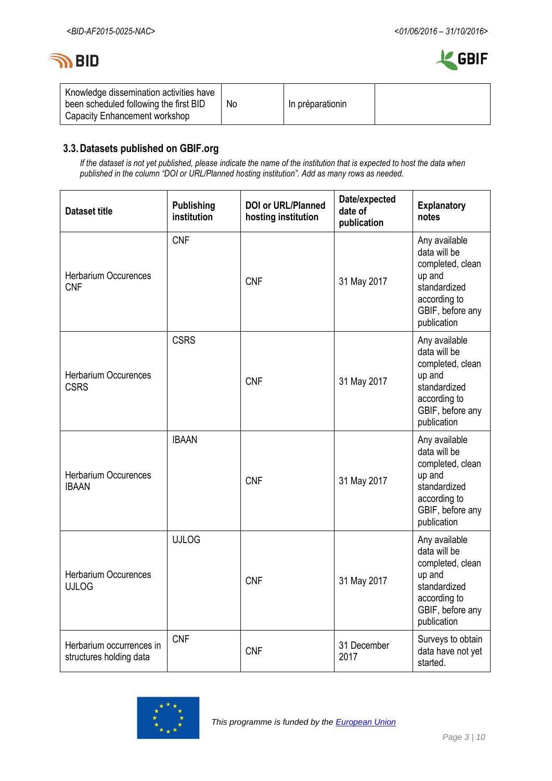



| Knowledge dissemination activities have<br>been scheduled following the first BID<br>Capacity Enhancement workshop | No | In préparationin |  |
|--------------------------------------------------------------------------------------------------------------------|----|------------------|--|
|--------------------------------------------------------------------------------------------------------------------|----|------------------|--|

# **3.3.Datasets published on GBIF.org**

*If the dataset is not yet published, please indicate the name of the institution that is expected to host the data when published in the column "DOI or URL/Planned hosting institution". Add as many rows as needed.*

| <b>Dataset title</b>                                | <b>Publishing</b><br>institution | <b>DOI or URL/Planned</b><br>hosting institution | Date/expected<br>date of<br>publication | <b>Explanatory</b><br>notes                                                                                                    |
|-----------------------------------------------------|----------------------------------|--------------------------------------------------|-----------------------------------------|--------------------------------------------------------------------------------------------------------------------------------|
| <b>Herbarium Occurences</b><br><b>CNF</b>           | <b>CNF</b>                       | <b>CNF</b>                                       | 31 May 2017                             | Any available<br>data will be<br>completed, clean<br>up and<br>standardized<br>according to<br>GBIF, before any<br>publication |
| <b>Herbarium Occurences</b><br><b>CSRS</b>          | <b>CSRS</b>                      | <b>CNF</b>                                       | 31 May 2017                             | Any available<br>data will be<br>completed, clean<br>up and<br>standardized<br>according to<br>GBIF, before any<br>publication |
| <b>Herbarium Occurences</b><br><b>IBAAN</b>         | <b>IBAAN</b>                     | <b>CNF</b>                                       | 31 May 2017                             | Any available<br>data will be<br>completed, clean<br>up and<br>standardized<br>according to<br>GBIF, before any<br>publication |
| <b>Herbarium Occurences</b><br><b>UJLOG</b>         | <b>UJLOG</b>                     | <b>CNF</b>                                       | 31 May 2017                             | Any available<br>data will be<br>completed, clean<br>up and<br>standardized<br>according to<br>GBIF, before any<br>publication |
| Herbarium occurrences in<br>structures holding data | <b>CNF</b>                       | <b>CNF</b>                                       | 31 December<br>2017                     | Surveys to obtain<br>data have not yet<br>started.                                                                             |

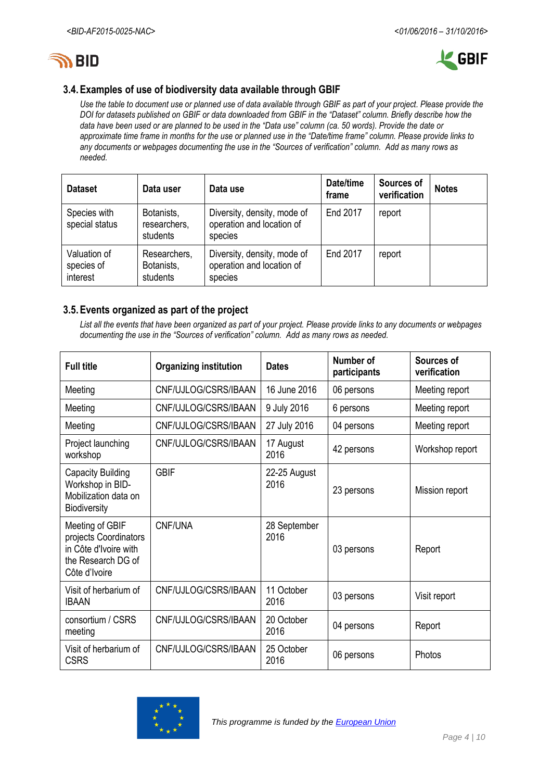



## **3.4.Examples of use of biodiversity data available through GBIF**

*Use the table to document use or planned use of data available through GBIF as part of your project. Please provide the DOI for datasets published on GBIF or data downloaded from GBIF in the "Dataset" column. Briefly describe how the data have been used or are planned to be used in the "Data use" column (ca. 50 words). Provide the date or approximate time frame in months for the use or planned use in the "Date/time frame" column. Please provide links to any documents or webpages documenting the use in the "Sources of verification" column. Add as many rows as needed.*

| <b>Dataset</b>                         | Data user                              | Data use                                                            | Date/time<br>frame | Sources of<br>verification | <b>Notes</b> |
|----------------------------------------|----------------------------------------|---------------------------------------------------------------------|--------------------|----------------------------|--------------|
| Species with<br>special status         | Botanists,<br>researchers,<br>students | Diversity, density, mode of<br>operation and location of<br>species | report             |                            |              |
| Valuation of<br>species of<br>interest | Researchers,<br>Botanists,<br>students | Diversity, density, mode of<br>operation and location of<br>species | End 2017           | report                     |              |

#### **3.5.Events organized as part of the project**

*List all the events that have been organized as part of your project. Please provide links to any documents or webpages documenting the use in the "Sources of verification" column. Add as many rows as needed.*

| <b>Full title</b>                                                                                        | <b>Organizing institution</b> | <b>Dates</b>         | Number of<br>participants | Sources of<br>verification |  |  |
|----------------------------------------------------------------------------------------------------------|-------------------------------|----------------------|---------------------------|----------------------------|--|--|
| Meeting                                                                                                  | CNF/UJLOG/CSRS/IBAAN          | 16 June 2016         | 06 persons                | Meeting report             |  |  |
| Meeting                                                                                                  | CNF/UJLOG/CSRS/IBAAN          | 9 July 2016          | 6 persons                 | Meeting report             |  |  |
| Meeting                                                                                                  | CNF/UJLOG/CSRS/IBAAN          | 27 July 2016         | 04 persons                | Meeting report             |  |  |
| Project launching<br>workshop                                                                            | CNF/UJLOG/CSRS/IBAAN          | 17 August<br>2016    | 42 persons                | Workshop report            |  |  |
| <b>Capacity Building</b><br>Workshop in BID-<br>Mobilization data on<br>Biodiversity                     | <b>GBIF</b>                   | 22-25 August<br>2016 | 23 persons                | Mission report             |  |  |
| Meeting of GBIF<br>projects Coordinators<br>in Côte d'Ivoire with<br>the Research DG of<br>Côte d'Ivoire | CNF/UNA                       | 28 September<br>2016 | 03 persons                | Report                     |  |  |
| Visit of herbarium of<br><b>IBAAN</b>                                                                    | CNF/UJLOG/CSRS/IBAAN          | 11 October<br>2016   | 03 persons                | Visit report               |  |  |
| consortium / CSRS<br>meeting                                                                             | CNF/UJLOG/CSRS/IBAAN          | 20 October<br>2016   | 04 persons                | Report                     |  |  |
| Visit of herbarium of<br><b>CSRS</b>                                                                     | CNF/UJLOG/CSRS/IBAAN          | 25 October<br>2016   | 06 persons                | Photos                     |  |  |

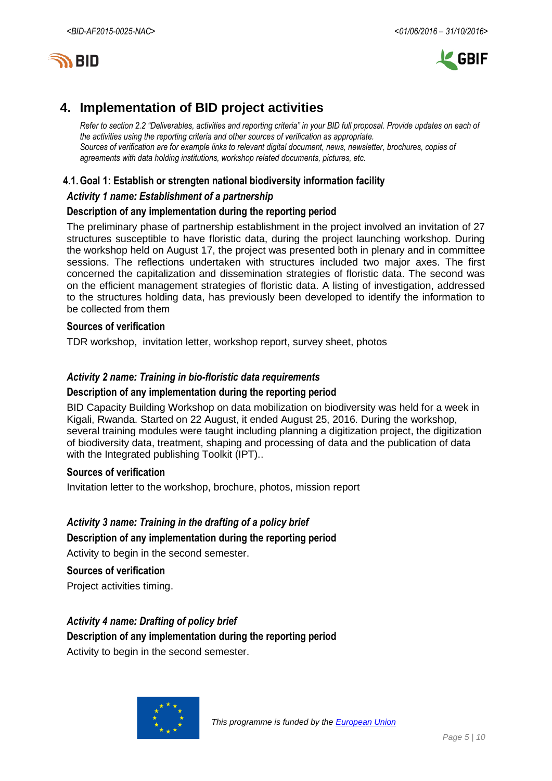



# **4. Implementation of BID project activities**

*Refer to section 2.2 "Deliverables, activities and reporting criteria" in your BID full proposal. Provide updates on each of the activities using the reporting criteria and other sources of verification as appropriate. Sources of verification are for example links to relevant digital document, news, newsletter, brochures, copies of agreements with data holding institutions, workshop related documents, pictures, etc.*

### **4.1.Goal 1: Establish or strengten national biodiversity information facility**

#### *Activity 1 name: Establishment of a partnership*

### **Description of any implementation during the reporting period**

The preliminary phase of partnership establishment in the project involved an invitation of 27 structures susceptible to have floristic data, during the project launching workshop. During the workshop held on August 17, the project was presented both in plenary and in committee sessions. The reflections undertaken with structures included two major axes. The first concerned the capitalization and dissemination strategies of floristic data. The second was on the efficient management strategies of floristic data. A listing of investigation, addressed to the structures holding data, has previously been developed to identify the information to be collected from them

#### **Sources of verification**

TDR workshop, invitation letter, workshop report, survey sheet, photos

### *Activity 2 name: Training in bio-floristic data requirements*

#### **Description of any implementation during the reporting period**

BID Capacity Building Workshop on data mobilization on biodiversity was held for a week in Kigali, Rwanda. Started on 22 August, it ended August 25, 2016. During the workshop, several training modules were taught including planning a digitization project, the digitization of biodiversity data, treatment, shaping and processing of data and the publication of data with the Integrated publishing Toolkit (IPT)..

#### **Sources of verification**

Invitation letter to the workshop, brochure, photos, mission report

## *Activity 3 name: Training in the drafting of a policy brief*

#### **Description of any implementation during the reporting period**

Activity to begin in the second semester.

#### **Sources of verification**

Project activities timing.

#### *Activity 4 name: Drafting of policy brief*

**Description of any implementation during the reporting period** Activity to begin in the second semester.

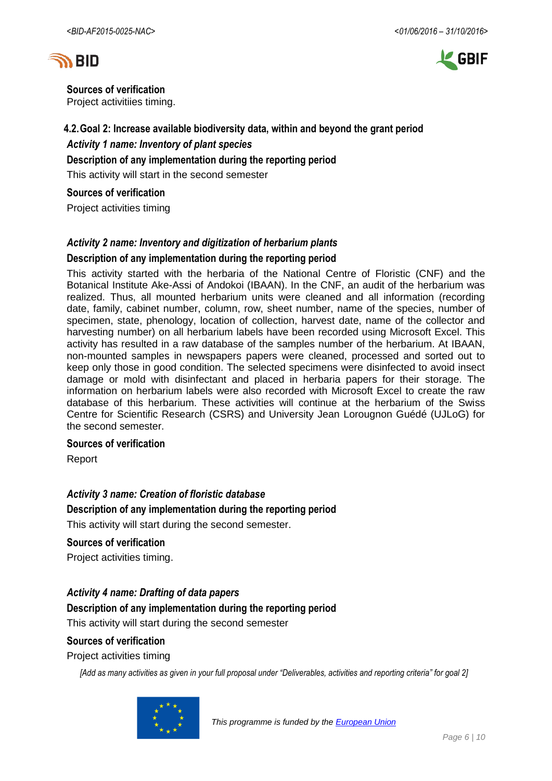



**Sources of verification** Project activitiies timing.

# **4.2.Goal 2: Increase available biodiversity data, within and beyond the grant period** *Activity 1 name: Inventory of plant species*

**Description of any implementation during the reporting period**

This activity will start in the second semester

**Sources of verification**

Project activities timing

# *Activity 2 name: Inventory and digitization of herbarium plants*

### **Description of any implementation during the reporting period**

This activity started with the herbaria of the National Centre of Floristic (CNF) and the Botanical Institute Ake-Assi of Andokoi (IBAAN). In the CNF, an audit of the herbarium was realized. Thus, all mounted herbarium units were cleaned and all information (recording date, family, cabinet number, column, row, sheet number, name of the species, number of specimen, state, phenology, location of collection, harvest date, name of the collector and harvesting number) on all herbarium labels have been recorded using Microsoft Excel. This activity has resulted in a raw database of the samples number of the herbarium. At IBAAN, non-mounted samples in newspapers papers were cleaned, processed and sorted out to keep only those in good condition. The selected specimens were disinfected to avoid insect damage or mold with disinfectant and placed in herbaria papers for their storage. The information on herbarium labels were also recorded with Microsoft Excel to create the raw database of this herbarium. These activities will continue at the herbarium of the Swiss Centre for Scientific Research (CSRS) and University Jean Lorougnon Guédé (UJLoG) for the second semester.

#### **Sources of verification**

Report

#### *Activity 3 name: Creation of floristic database*

**Description of any implementation during the reporting period**

This activity will start during the second semester.

#### **Sources of verification**

Project activities timing.

## *Activity 4 name: Drafting of data papers*

**Description of any implementation during the reporting period**

This activity will start during the second semester

#### **Sources of verification**

Project activities timing

*[Add as many activities as given in your full proposal under "Deliverables, activities and reporting criteria" for goal 2]*

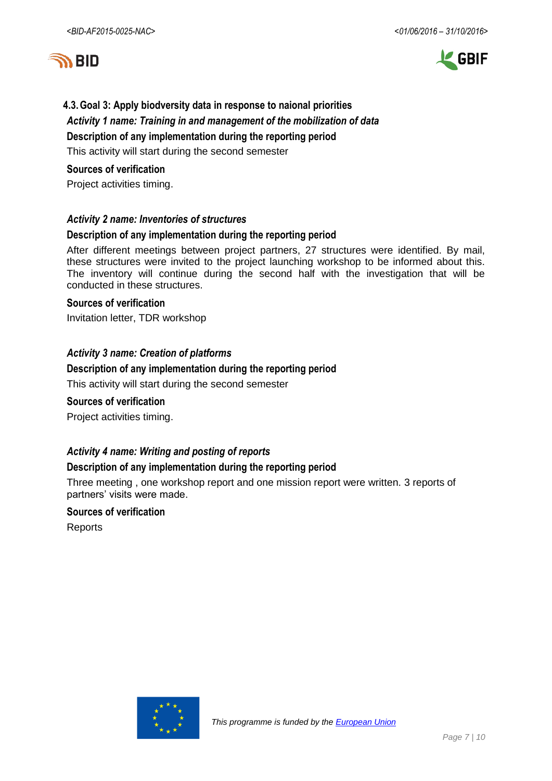



# **4.3.Goal 3: Apply biodversity data in response to naional priorities** *Activity 1 name: Training in and management of the mobilization of data* **Description of any implementation during the reporting period** This activity will start during the second semester

#### **Sources of verification**

Project activities timing.

### *Activity 2 name: Inventories of structures*

### **Description of any implementation during the reporting period**

After different meetings between project partners, 27 structures were identified. By mail, these structures were invited to the project launching workshop to be informed about this. The inventory will continue during the second half with the investigation that will be conducted in these structures.

#### **Sources of verification**

Invitation letter, TDR workshop

### *Activity 3 name: Creation of platforms*

#### **Description of any implementation during the reporting period**

This activity will start during the second semester

#### **Sources of verification**

Project activities timing.

## *Activity 4 name: Writing and posting of reports*

#### **Description of any implementation during the reporting period**

Three meeting , one workshop report and one mission report were written. 3 reports of partners' visits were made.

# **Sources of verification**

Reports

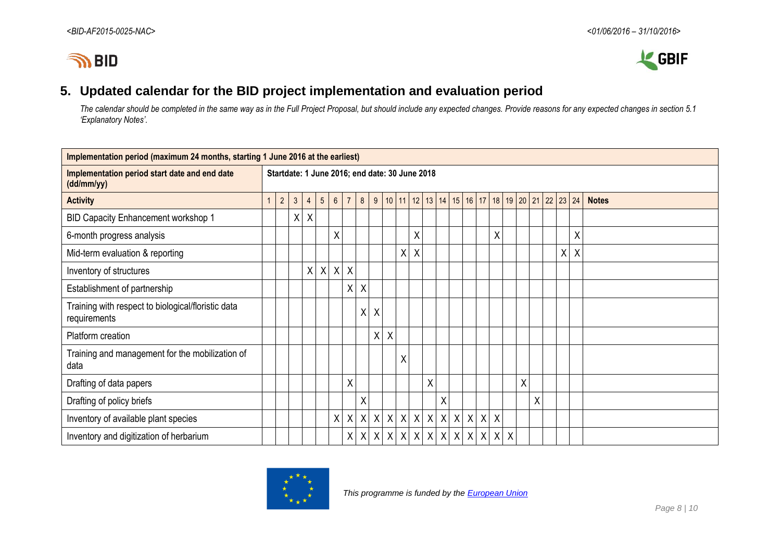



# **5. Updated calendar for the BID project implementation and evaluation period**

*The calendar should be completed in the same way as in the Full Project Proposal, but should include any expected changes. Provide reasons for any expected changes in section 5.1 'Explanatory Notes'.*

| Implementation period (maximum 24 months, starting 1 June 2016 at the earliest) |  |                |                                                |                           |                 |                 |                           |                           |                  |                  |   |         |   |                 |                  |                  |              |                                     |                           |         |   |                      |   |   |              |
|---------------------------------------------------------------------------------|--|----------------|------------------------------------------------|---------------------------|-----------------|-----------------|---------------------------|---------------------------|------------------|------------------|---|---------|---|-----------------|------------------|------------------|--------------|-------------------------------------|---------------------------|---------|---|----------------------|---|---|--------------|
| Implementation period start date and end date<br>(dd/mm/yy)                     |  |                | Startdate: 1 June 2016; end date: 30 June 2018 |                           |                 |                 |                           |                           |                  |                  |   |         |   |                 |                  |                  |              |                                     |                           |         |   |                      |   |   |              |
| <b>Activity</b>                                                                 |  | $\overline{2}$ | 3 <sup>1</sup>                                 | $\overline{4}$            | $5\phantom{.0}$ | $6\overline{6}$ | $\overline{7}$            | 8                         | 9                |                  |   |         |   |                 |                  |                  |              | 10 11 12 13 14 15 16 17 18 19 20 21 |                           |         |   | $22 \mid 23 \mid 24$ |   |   | <b>Notes</b> |
| BID Capacity Enhancement workshop 1                                             |  |                | X                                              | $\boldsymbol{\mathsf{X}}$ |                 |                 |                           |                           |                  |                  |   |         |   |                 |                  |                  |              |                                     |                           |         |   |                      |   |   |              |
| 6-month progress analysis                                                       |  |                |                                                |                           |                 | X               |                           |                           |                  |                  |   | X       |   |                 |                  |                  |              | X                                   |                           |         |   |                      |   | X |              |
| Mid-term evaluation & reporting                                                 |  |                |                                                |                           |                 |                 |                           |                           |                  |                  |   | $X$ $X$ |   |                 |                  |                  |              |                                     |                           |         |   |                      | Χ | Χ |              |
| Inventory of structures                                                         |  |                |                                                | X                         | $\mathsf{X}$    | $\sf X$         | $\boldsymbol{\mathsf{X}}$ |                           |                  |                  |   |         |   |                 |                  |                  |              |                                     |                           |         |   |                      |   |   |              |
| Establishment of partnership                                                    |  |                |                                                |                           |                 |                 | X                         | X                         |                  |                  |   |         |   |                 |                  |                  |              |                                     |                           |         |   |                      |   |   |              |
| Training with respect to biological/floristic data<br>requirements              |  |                |                                                |                           |                 |                 |                           | Χ                         | Χ                |                  |   |         |   |                 |                  |                  |              |                                     |                           |         |   |                      |   |   |              |
| Platform creation                                                               |  |                |                                                |                           |                 |                 |                           |                           | X                | $\sf X$          |   |         |   |                 |                  |                  |              |                                     |                           |         |   |                      |   |   |              |
| Training and management for the mobilization of<br>data                         |  |                |                                                |                           |                 |                 |                           |                           |                  |                  | X |         |   |                 |                  |                  |              |                                     |                           |         |   |                      |   |   |              |
| Drafting of data papers                                                         |  |                |                                                |                           |                 |                 | X                         |                           |                  |                  |   |         | χ |                 |                  |                  |              |                                     |                           | $\sf X$ |   |                      |   |   |              |
| Drafting of policy briefs                                                       |  |                |                                                |                           |                 |                 |                           | X                         |                  |                  |   |         |   | Χ               |                  |                  |              |                                     |                           |         | X |                      |   |   |              |
| Inventory of available plant species                                            |  |                |                                                |                           |                 | χ               | $\mathsf{X}$              | $\boldsymbol{\mathsf{X}}$ | $\mathsf{X}$     | $\boldsymbol{X}$ |   |         |   | x   x   x   x   | $\boldsymbol{X}$ | $\boldsymbol{X}$ | $\mathsf{X}$ | $\boldsymbol{\mathsf{X}}$           |                           |         |   |                      |   |   |              |
| Inventory and digitization of herbarium                                         |  |                |                                                |                           |                 |                 | $\mathsf{X}$              | X                         | $\boldsymbol{X}$ | $\boldsymbol{X}$ |   |         |   | $X$ $X$ $X$ $X$ |                  |                  |              | $X$ $X$ $X$ $X$                     | $\boldsymbol{\mathsf{X}}$ |         |   |                      |   |   |              |

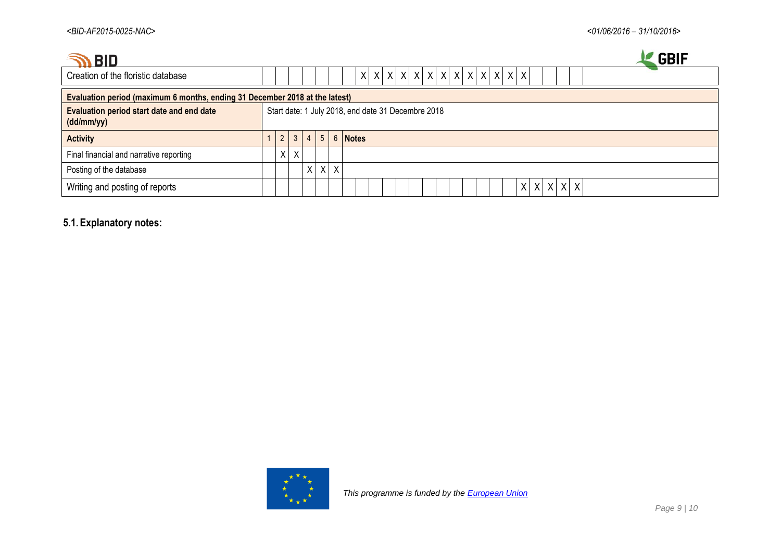| <b>BID</b>                                                                  |          |   |                |                 |         | <b>GBIF</b>                                              |
|-----------------------------------------------------------------------------|----------|---|----------------|-----------------|---------|----------------------------------------------------------|
| Creation of the floristic database                                          |          |   |                |                 |         | $x   x   x   x   x   x   x   x   x   x   x   x   x$<br>X |
| Evaluation period (maximum 6 months, ending 31 December 2018 at the latest) |          |   |                |                 |         |                                                          |
| Evaluation period start date and end date<br>(dd/mm/yy)                     |          |   |                |                 |         | Start date: 1 July 2018, end date 31 Decembre 2018       |
| <b>Activity</b>                                                             | 2        | 3 | $\overline{4}$ | $5\overline{)}$ |         | 6 Notes                                                  |
| Final financial and narrative reporting                                     | $\times$ | X |                |                 |         |                                                          |
| Posting of the database                                                     |          |   | $X \mid$       |                 | $X$ $X$ |                                                          |
| Writing and posting of reports                                              |          |   |                |                 |         | $X$ $X$<br>Χ                                             |

# **5.1.Explanatory notes:**